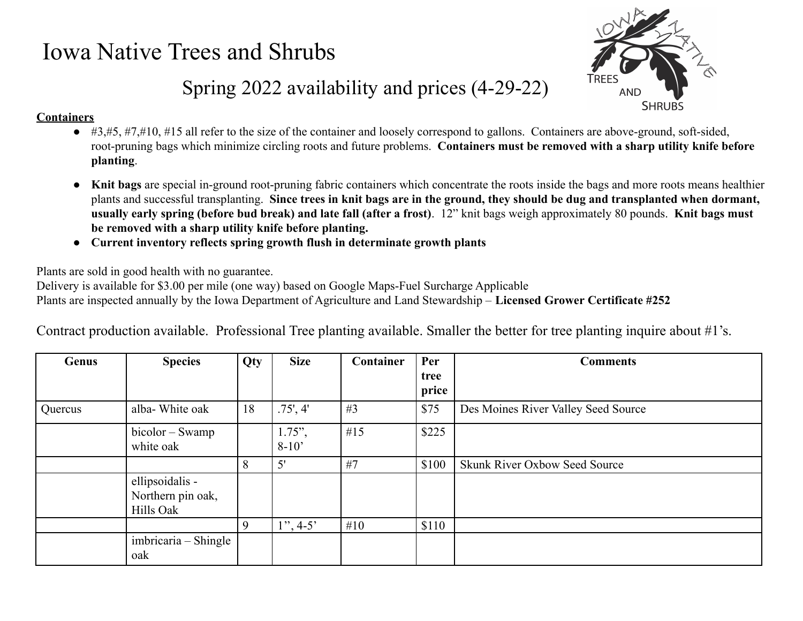## Iowa Native Trees and Shrubs



## Spring 2022 availability and prices (4-29-22)

## **Containers**

- $\bullet$  #3,#5, #7,#10, #15 all refer to the size of the container and loosely correspond to gallons. Containers are above-ground, soft-sided, root-pruning bags which minimize circling roots and future problems. **Containers must be removed with a sharp utility knife before planting**.
- **Knit bags** are special in-ground root-pruning fabric containers which concentrate the roots inside the bags and more roots means healthier plants and successful transplanting. **Since trees in knit bags are in the ground, they should be dug and transplanted when dormant, usually early spring (before bud break) and late fall (after a frost)**. 12" knit bags weigh approximately 80 pounds. **Knit bags must be removed with a sharp utility knife before planting.**
- **● Current inventory reflects spring growth flush in determinate growth plants**

Plants are sold in good health with no guarantee.

Delivery is available for \$3.00 per mile (one way) based on Google Maps-Fuel Surcharge Applicable Plants are inspected annually by the Iowa Department of Agriculture and Land Stewardship – **Licensed Grower Certificate #252**

Contract production available. Professional Tree planting available. Smaller the better for tree planting inquire about #1's.

| Genus   | <b>Species</b>                                    | <b>Qty</b> | <b>Size</b>          | Container | Per           | <b>Comments</b>                     |
|---------|---------------------------------------------------|------------|----------------------|-----------|---------------|-------------------------------------|
|         |                                                   |            |                      |           | tree<br>price |                                     |
| Quercus | alba-White oak                                    | 18         | .75', 4'             | #3        | \$75          | Des Moines River Valley Seed Source |
|         | bicolor – Swamp<br>white oak                      |            | $1.75$ ",<br>$8-10'$ | #15       | \$225         |                                     |
|         |                                                   | 8          | 5'                   | #7        | \$100         | Skunk River Oxbow Seed Source       |
|         | ellipsoidalis -<br>Northern pin oak,<br>Hills Oak |            |                      |           |               |                                     |
|         |                                                   | 9          | $1", 4-5"$           | #10       | \$110         |                                     |
|         | imbricaria – Shingle<br>oak                       |            |                      |           |               |                                     |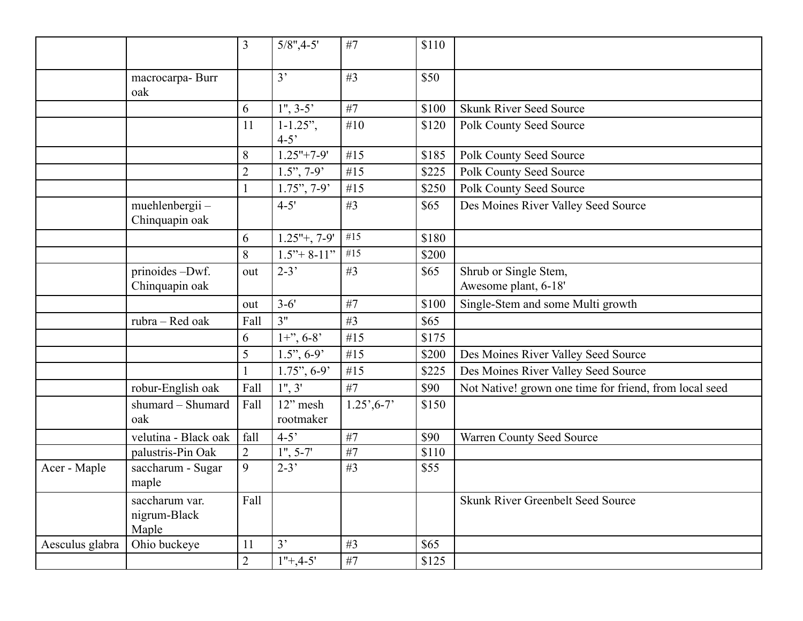|                 |                                         | $\overline{3}$ | $5/8$ ", 4-5'            | #7                          | \$110 |                                                        |
|-----------------|-----------------------------------------|----------------|--------------------------|-----------------------------|-------|--------------------------------------------------------|
|                 | macrocarpa-Burr<br>oak                  |                | 3'                       | #3                          | \$50  |                                                        |
|                 |                                         | 6              | $1", 3-5"$               | #7                          | \$100 | <b>Skunk River Seed Source</b>                         |
|                 |                                         | 11             | $1 - 1.25$ ",<br>$4 - 5$ | #10                         | \$120 | Polk County Seed Source                                |
|                 |                                         | 8              | $1.25" + 7-9'$           | #15                         | \$185 | Polk County Seed Source                                |
|                 |                                         | $\overline{2}$ | $1.5$ ", 7-9°            | #15                         | \$225 | Polk County Seed Source                                |
|                 |                                         | $\mathbf{1}$   | $1.75$ ", 7-9'           | #15                         | \$250 | Polk County Seed Source                                |
|                 | muehlenbergii-<br>Chinquapin oak        |                | $4 - 5'$                 | #3                          | \$65  | Des Moines River Valley Seed Source                    |
|                 |                                         | 6              | $1.25"+, 7-9"$           | #15                         | \$180 |                                                        |
|                 |                                         | 8              | $1.5" + 8-11"$           | #15                         | \$200 |                                                        |
|                 | prinoides -Dwf.<br>Chinquapin oak       | out            | $2-3'$                   | #3                          | \$65  | Shrub or Single Stem,<br>Awesome plant, 6-18'          |
|                 |                                         | out            | $3 - 6'$                 | #7                          | \$100 | Single-Stem and some Multi growth                      |
|                 | rubra - Red oak                         | Fall           | 3"                       | #3                          | \$65  |                                                        |
|                 |                                         | 6              | $1+$ ", 6-8'             | #15                         | \$175 |                                                        |
|                 |                                         | 5              | $1.5$ ", 6-9'            | #15                         | \$200 | Des Moines River Valley Seed Source                    |
|                 |                                         |                | $1.75$ ", 6-9'           | #15                         | \$225 | Des Moines River Valley Seed Source                    |
|                 | robur-English oak                       | Fall           | 1", 3"                   | #7                          | \$90  | Not Native! grown one time for friend, from local seed |
|                 | shumard - Shumard<br>oak                | Fall           | 12" mesh<br>rootmaker    | $1.25^{\circ}, 6-7^{\circ}$ | \$150 |                                                        |
|                 | velutina - Black oak                    | fall           | $4 - 5'$                 | #7                          | \$90  | Warren County Seed Source                              |
|                 | palustris-Pin Oak                       | $\overline{2}$ | $1", 5-7"$               | #7                          | \$110 |                                                        |
| Acer - Maple    | saccharum - Sugar<br>maple              | 9              | $2 - 3'$                 | #3                          | \$55  |                                                        |
|                 | saccharum var.<br>nigrum-Black<br>Maple | Fall           |                          |                             |       | <b>Skunk River Greenbelt Seed Source</b>               |
| Aesculus glabra | Ohio buckeye                            | 11             | 3'                       | #3                          | \$65  |                                                        |
|                 |                                         | $\overline{2}$ | $1"+4-5"$                | #7                          | \$125 |                                                        |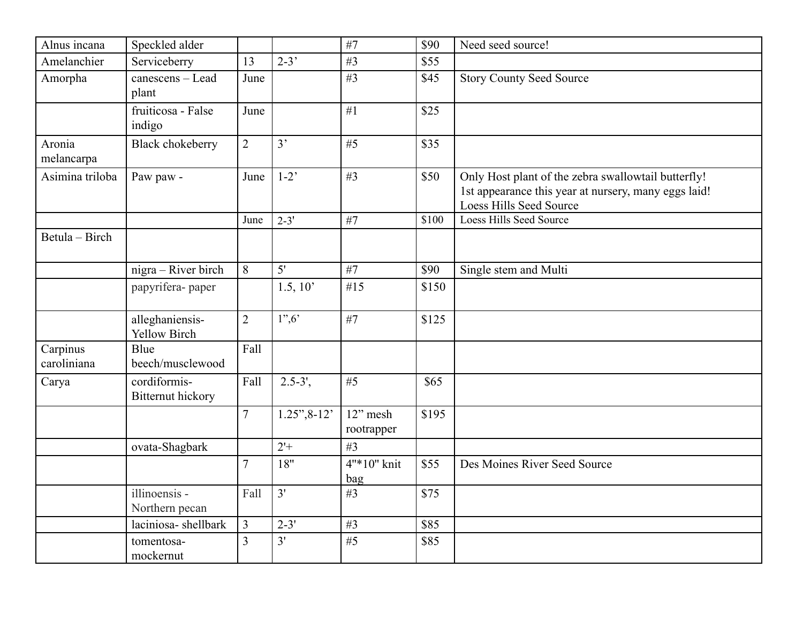| Alnus incana            | Speckled alder                           |                |                  | #7                     | \$90  | Need seed source!                                                                                                                      |
|-------------------------|------------------------------------------|----------------|------------------|------------------------|-------|----------------------------------------------------------------------------------------------------------------------------------------|
| Amelanchier             | Serviceberry                             | 13             | $2 - 3'$         | #3                     | \$55  |                                                                                                                                        |
| Amorpha                 | canescens - Lead<br>plant                | June           |                  | #3                     | \$45  | <b>Story County Seed Source</b>                                                                                                        |
|                         | fruiticosa - False<br>indigo             | June           |                  | #1                     | \$25  |                                                                                                                                        |
| Aronia<br>melancarpa    | <b>Black chokeberry</b>                  | $\overline{2}$ | 3'               | #5                     | \$35  |                                                                                                                                        |
| Asimina triloba         | Paw paw -                                | June           | $1-2$            | #3                     | \$50  | Only Host plant of the zebra swallowtail butterfly!<br>1st appearance this year at nursery, many eggs laid!<br>Loess Hills Seed Source |
|                         |                                          | June           | $2 - 3'$         | #7                     | \$100 | <b>Loess Hills Seed Source</b>                                                                                                         |
| Betula - Birch          |                                          |                |                  |                        |       |                                                                                                                                        |
|                         | nigra - River birch                      | 8              | 5'               | #7                     | \$90  | Single stem and Multi                                                                                                                  |
|                         | papyrifera-paper                         |                | 1.5, 10'         | #15                    | \$150 |                                                                                                                                        |
|                         | alleghaniensis-<br><b>Yellow Birch</b>   | $\overline{2}$ | 1", 6"           | #7                     | \$125 |                                                                                                                                        |
| Carpinus<br>caroliniana | Blue<br>beech/musclewood                 | Fall           |                  |                        |       |                                                                                                                                        |
| Carya                   | cordiformis-<br><b>Bitternut hickory</b> | Fall           | $2.5 - 3'$ ,     | #5                     | \$65  |                                                                                                                                        |
|                         |                                          | $\overline{7}$ | $1.25$ ", $8-12$ | 12" mesh<br>rootrapper | \$195 |                                                                                                                                        |
|                         | ovata-Shagbark                           |                | $2 +$            | #3                     |       |                                                                                                                                        |
|                         |                                          | $\overline{7}$ | 18"              | 4"*10" knit<br>bag     | \$55  | Des Moines River Seed Source                                                                                                           |
|                         | illinoensis -<br>Northern pecan          | Fall           | 3'               | #3                     | \$75  |                                                                                                                                        |
|                         | laciniosa-shellbark                      | $\overline{3}$ | $2 - 3'$         | #3                     | \$85  |                                                                                                                                        |
|                         | tomentosa-<br>mockernut                  | $\overline{3}$ | 3'               | #5                     | \$85  |                                                                                                                                        |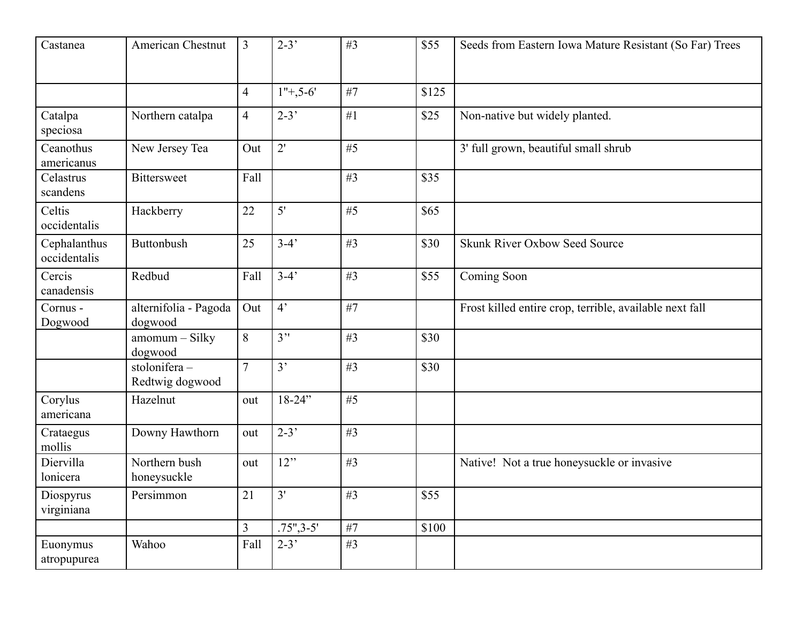| Castanea                     | American Chestnut                | $\overline{3}$ | $2 - 3'$     | #3 | \$55  | Seeds from Eastern Iowa Mature Resistant (So Far) Trees |
|------------------------------|----------------------------------|----------------|--------------|----|-------|---------------------------------------------------------|
|                              |                                  | $\overline{4}$ | $1"+5-6'$    | #7 | \$125 |                                                         |
| Catalpa<br>speciosa          | Northern catalpa                 | $\overline{4}$ | $2-3'$       | #1 | \$25  | Non-native but widely planted.                          |
| Ceanothus<br>americanus      | New Jersey Tea                   | Out            | 2'           | #5 |       | 3' full grown, beautiful small shrub                    |
| Celastrus<br>scandens        | <b>Bittersweet</b>               | Fall           |              | #3 | \$35  |                                                         |
| Celtis<br>occidentalis       | Hackberry                        | 22             | 5'           | #5 | \$65  |                                                         |
| Cephalanthus<br>occidentalis | <b>Buttonbush</b>                | 25             | $3-4'$       | #3 | \$30  | <b>Skunk River Oxbow Seed Source</b>                    |
| Cercis<br>canadensis         | Redbud                           | Fall           | $3-4'$       | #3 | \$55  | Coming Soon                                             |
| Cornus -<br>Dogwood          | alternifolia - Pagoda<br>dogwood | Out            | $4^{\circ}$  | #7 |       | Frost killed entire crop, terrible, available next fall |
|                              | amomum - Silky<br>dogwood        | 8              | 3"           | #3 | \$30  |                                                         |
|                              | stolonifera -<br>Redtwig dogwood | $\overline{7}$ | 3'           | #3 | \$30  |                                                         |
| Corylus<br>americana         | Hazelnut                         | out            | $18 - 24"$   | #5 |       |                                                         |
| Crataegus<br>mollis          | Downy Hawthorn                   | out            | $2 - 3'$     | #3 |       |                                                         |
| Diervilla<br>lonicera        | Northern bush<br>honeysuckle     | out            | 12"          | #3 |       | Native! Not a true honeysuckle or invasive              |
| Diospyrus<br>virginiana      | Persimmon                        | 21             | 3'           | #3 | \$55  |                                                         |
|                              |                                  | $\overline{3}$ | $.75", 3-5"$ | #7 | \$100 |                                                         |
| Euonymus<br>atropupurea      | Wahoo                            | Fall           | $2 - 3'$     | #3 |       |                                                         |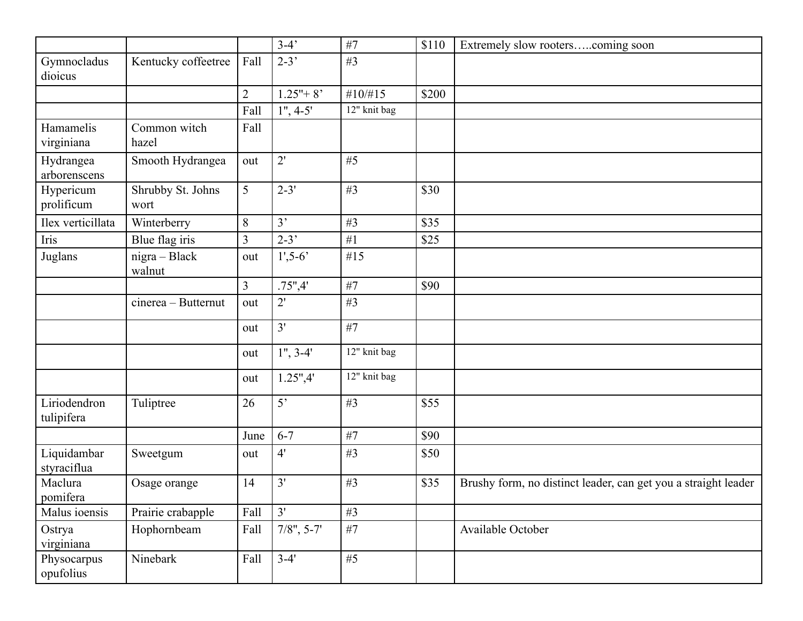|                            |                           |                | $3-4'$         | #7              | \$110 | Extremely slow rooterscoming soon                              |
|----------------------------|---------------------------|----------------|----------------|-----------------|-------|----------------------------------------------------------------|
| Gymnocladus<br>dioicus     | Kentucky coffeetree       | Fall           | $2-3'$         | #3              |       |                                                                |
|                            |                           | $\overline{2}$ | $1.25" + 8"$   | #10/H15         | \$200 |                                                                |
|                            |                           | Fall           | $1", 4-5"$     | 12" knit bag    |       |                                                                |
| Hamamelis<br>virginiana    | Common witch<br>hazel     | Fall           |                |                 |       |                                                                |
| Hydrangea<br>arborenscens  | Smooth Hydrangea          | out            | 2'             | #5              |       |                                                                |
| Hypericum<br>prolificum    | Shrubby St. Johns<br>wort | 5              | $2 - 3'$       | #3              | \$30  |                                                                |
| Ilex verticillata          | Winterberry               | $8\,$          | 3'             | #3              | \$35  |                                                                |
| Iris                       | Blue flag iris            | $\overline{3}$ | $2 - 3'$       | #1              | \$25  |                                                                |
| Juglans                    | nigra - Black<br>walnut   | out            | $1', 5 - 6'$   | #15             |       |                                                                |
|                            |                           | $\overline{3}$ | .75",4"        | #7              | \$90  |                                                                |
|                            | cinerea - Butternut       | out            | 2'             | #3              |       |                                                                |
|                            |                           | out            | 3'             | #7              |       |                                                                |
|                            |                           | out            | $1", 3-4"$     | 12" knit bag    |       |                                                                |
|                            |                           | out            | 1.25",4"       | 12" knit bag    |       |                                                                |
| Liriodendron<br>tulipifera | Tuliptree                 | 26             | 5 <sup>2</sup> | #3              | \$55  |                                                                |
|                            |                           | June           | $6 - 7$        | #7              | \$90  |                                                                |
| Liquidambar<br>styraciflua | Sweetgum                  | out            | 4'             | #3              | \$50  |                                                                |
| Maclura<br>pomifera        | Osage orange              | 14             | 3'             | #3              | \$35  | Brushy form, no distinct leader, can get you a straight leader |
| Malus ioensis              | Prairie crabapple         | Fall           | 3'             | #3              |       |                                                                |
| Ostrya<br>virginiana       | Hophornbeam               | Fall           | $7/8$ ", 5-7'  | #7              |       | Available October                                              |
| Physocarpus<br>opufolius   | Ninebark                  | Fall           | $3-4'$         | $\overline{45}$ |       |                                                                |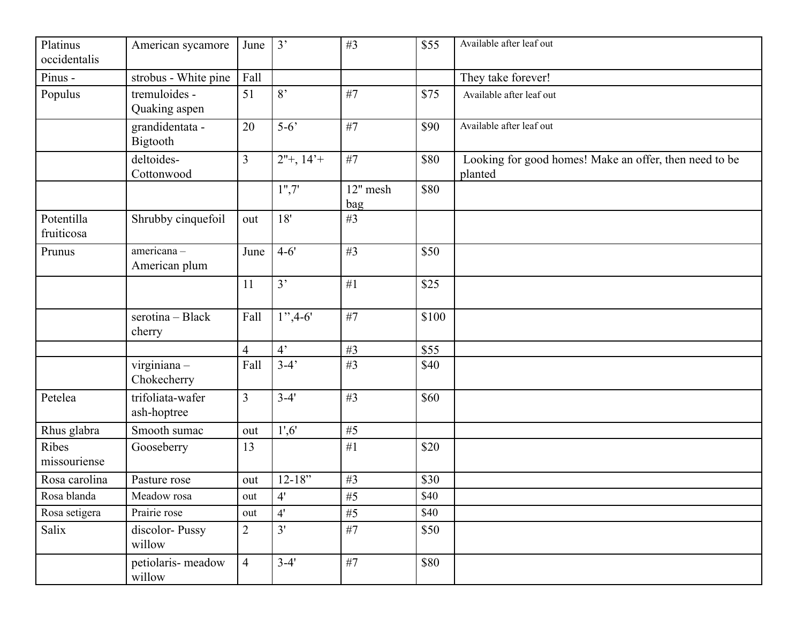| Platinus<br>occidentalis | American sycamore               | June           | 3'          | #3              | \$55  | Available after leaf out                                          |
|--------------------------|---------------------------------|----------------|-------------|-----------------|-------|-------------------------------------------------------------------|
| Pinus -                  | strobus - White pine            | Fall           |             |                 |       | They take forever!                                                |
| Populus                  | tremuloides -<br>Quaking aspen  | 51             | 8'          | #7              | \$75  | Available after leaf out                                          |
|                          | grandidentata -<br>Bigtooth     | 20             | $5-6$       | #7              | \$90  | Available after leaf out                                          |
|                          | deltoides-<br>Cottonwood        | $\overline{3}$ | $2"+, 14"+$ | #7              | \$80  | Looking for good homes! Make an offer, then need to be<br>planted |
|                          |                                 |                | 1", 7"      | 12" mesh<br>bag | \$80  |                                                                   |
| Potentilla<br>fruiticosa | Shrubby cinquefoil              | out            | 18'         | #3              |       |                                                                   |
| Prunus                   | americana-<br>American plum     | June           | $4 - 6'$    | #3              | \$50  |                                                                   |
|                          |                                 | 11             | 3'          | #1              | \$25  |                                                                   |
|                          | serotina - Black<br>cherry      | Fall           | $1", 4-6"$  | #7              | \$100 |                                                                   |
|                          |                                 | $\overline{4}$ | $4^{\circ}$ | #3              | \$55  |                                                                   |
|                          | virginiana-<br>Chokecherry      | Fall           | $3-4'$      | #3              | \$40  |                                                                   |
| Petelea                  | trifoliata-wafer<br>ash-hoptree | $\overline{3}$ | $3 - 4'$    | #3              | \$60  |                                                                   |
| Rhus glabra              | Smooth sumac                    | out            | 1', 6'      | #5              |       |                                                                   |
| Ribes<br>missouriense    | Gooseberry                      | 13             |             | #1              | \$20  |                                                                   |
| Rosa carolina            | Pasture rose                    | out            | $12 - 18"$  | #3              | \$30  |                                                                   |
| Rosa blanda              | Meadow rosa                     | out            | 4'          | $\#5$           | \$40  |                                                                   |
| Rosa setigera            | Prairie rose                    | out            | 4'          | #5              | \$40  |                                                                   |
| Salix                    | discolor-Pussy<br>willow        | $\overline{2}$ | 3'          | #7              | \$50  |                                                                   |
|                          | petiolaris-meadow<br>willow     | $\overline{4}$ | $3-4'$      | #7              | \$80  |                                                                   |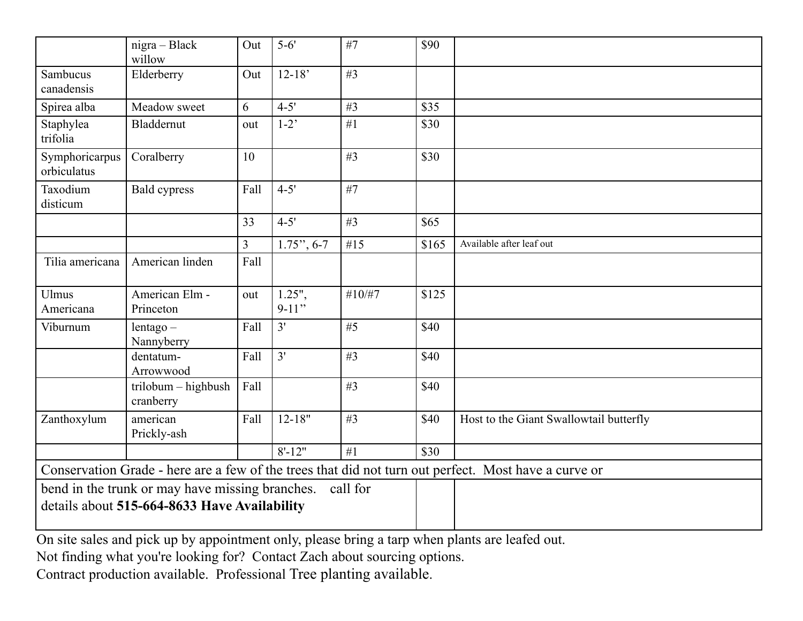|                                                                                                             | nigra - Black<br>willow          | Out            | $5 - 6'$             | #7     | \$90  |                                                                                                      |
|-------------------------------------------------------------------------------------------------------------|----------------------------------|----------------|----------------------|--------|-------|------------------------------------------------------------------------------------------------------|
| <b>Sambucus</b><br>canadensis                                                                               | Elderberry                       | Out            | $12 - 18'$           | #3     |       |                                                                                                      |
| Spirea alba                                                                                                 | Meadow sweet                     | 6              | $4 - 5'$             | #3     | \$35  |                                                                                                      |
| Staphylea<br>trifolia                                                                                       | Bladdernut                       | out            | $1-2$                | #1     | \$30  |                                                                                                      |
| Symphoricarpus<br>orbiculatus                                                                               | Coralberry                       | 10             |                      | #3     | \$30  |                                                                                                      |
| Taxodium<br>disticum                                                                                        | <b>Bald cypress</b>              | Fall           | $4 - 5'$             | #7     |       |                                                                                                      |
|                                                                                                             |                                  | 33             | $4 - 5'$             | #3     | \$65  |                                                                                                      |
|                                                                                                             |                                  | $\overline{3}$ | $1.75$ ", 6-7        | #15    | \$165 | Available after leaf out                                                                             |
| Tilia americana                                                                                             | American linden                  | Fall           |                      |        |       |                                                                                                      |
| <b>Ulmus</b><br>Americana                                                                                   | American Elm -<br>Princeton      | out            | $1.25$ ",<br>$9-11"$ | #10/H7 | \$125 |                                                                                                      |
| Viburnum                                                                                                    | $l$ entago $-$<br>Nannyberry     | Fall           | 3'                   | #5     | \$40  |                                                                                                      |
|                                                                                                             | dentatum-<br>Arrowwood           | Fall           | 3'                   | #3     | \$40  |                                                                                                      |
|                                                                                                             | trilobum - highbush<br>cranberry | Fall           |                      | #3     | \$40  |                                                                                                      |
| Zanthoxylum                                                                                                 | american<br>Prickly-ash          | Fall           | $12 - 18"$           | #3     | \$40  | Host to the Giant Swallowtail butterfly                                                              |
|                                                                                                             |                                  |                | $8' - 12"$           | #1     | \$30  |                                                                                                      |
|                                                                                                             |                                  |                |                      |        |       | Conservation Grade - here are a few of the trees that did not turn out perfect. Most have a curve or |
| call for<br>bend in the trunk or may have missing branches.<br>details about 515-664-8633 Have Availability |                                  |                |                      |        |       |                                                                                                      |

On site sales and pick up by appointment only, please bring a tarp when plants are leafed out.

Not finding what you're looking for? Contact Zach about sourcing options.

Contract production available. Professional Tree planting available.